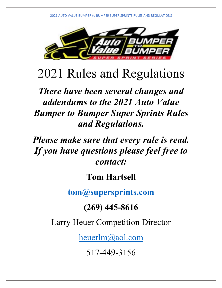

# 2021 Rules and Regulations

*There have been several changes and addendums to the 2021 Auto Value Bumper to Bumper Super Sprints Rules and Regulations.*

*Please make sure that every rule is read. If you have questions please feel free to contact:*

# **Tom Hartsell**

**tom@supersprints.com**

# **(269) 445-8616**

Larry Heuer Competition Director

heuerlm@aol.com

517-449-3156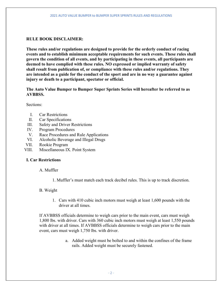### **RULE BOOK DISCLAIMER:**

**These rules and/or regulations are designed to provide for the orderly conduct of racing events and to establish minimum acceptable requirements for such events. These rules shall govern the condition of all events, and by participating in these events, all participants are deemed to have complied with these rules. NO expressed or implied warranty of safety shall result from publication of, or compliance with these rules and/or regulations. They are intended as a guide for the conduct of the sport and are in no way a guarantee against injury or death to a participant, spectator or official.** 

**The Auto Value Bumper to Bumper Super Sprints Series will hereafter be referred to as AVBBSS.** 

Sections:

- I. Car Restrictions
- II. Car Specifications
- III. Safety and Driver Restrictions
- IV. Program Procedures
- V. Race Procedures and Rule Applications
- VI. Alcoholic Beverage and Illegal Drugs
- VII. Rookie Program
- VIII. Miscellaneous IX. Point System

#### **I. Car Restrictions**

A. Muffler

1. Muffler's must match each track decibel rules. This is up to track discretion.

#### B. Weight

1. Cars with 410 cubic inch motors must weigh at least 1,600 pounds with the driver at all times.

If AVBBSS officials determine to weigh cars prior to the main event, cars must weigh 1,800 lbs. with driver. Cars with 360 cubic inch motors must weigh at least 1,550 pounds with driver at all times. If AVBBSS officials determine to weigh cars prior to the main event, cars must weigh 1,750 lbs. with driver.

> a. Added weight must be bolted to and within the confines of the frame rails. Added weight must be securely fastened.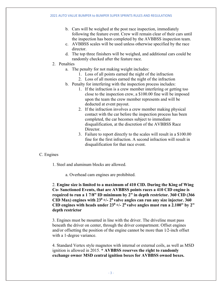- b. Cars will be weighed at the post race inspection, immediately following the feature event. Crew will remain clear of their cars until the inspection has been completed by the AVBBSS inspection team.
- c. AVBBSS scales will be used unless otherwise specified by the race director.
- d. The top three finishers will be weighed, and additional cars could be randomly checked after the feature race.
- 2. Penalties
	- a. The penalty for not making weight includes:
		- 1. Loss of all points earned the night of the infraction
		- 2. Loss of all monies earned the night of the infraction
	- b. Penalty for interfering with the inspection process includes:
		- 1. If the infraction is a crew member interfering or getting too close to the inspection crew, a \$100.00 fine will be imposed upon the team the crew member represents and will be deducted at event payout.
		- 2. If the infraction involves a crew member making physical contact with the car before the inspection process has been completed, the car becomes subject to immediate disqualification, at the discretion of the AVBBSS Race Director.
		- 3. Failure to report directly to the scales will result in a \$100.00 fine for the first infraction. A second infraction will result in disqualification for that race event.

#### C. Engines

- 1. Steel and aluminum blocks are allowed.
	- a. Overhead cam engines are prohibited.

2. **Engine size is limited to a maximum of 410 CID. During the King of Wing Co- Sanctioned Events, that are AVBBSS points races a 410 CID engine is required to run a 1 7/8" ID minimum by 2" in depth restrictor. 360 CID (366**  CID Max) engines with  $23^0 +12^0$  valve angles can run any size injector. 360 CID engines with heads under  $23^0$  +/-  $2^0$  valve angles must run a  $2.100$ " by  $2$ " **depth restrictor**

3. Engines must be mounted in line with the driver. The driveline must pass beneath the driver on center, through the driver compartment. Offset engines and/or offsetting the position of the engine cannot be more than  $1/2$ -inch offset with a 1-degree variance.

4. Standard Vertex style magnetos with internal or external coils, as well as MSD ignition is allowed in 2015. **\* AVBBSS reserves the right to randomly exchange owner MSD central ignition boxes for AVBBSS owned boxes.**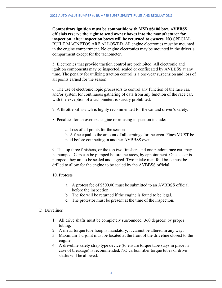**Competitors ignition must be compatible with MSD #8106 box. AVBBSS officials reserve the right to send owner boxes into the manufacturer for inspection, after inspection boxes will be returned to owners.** NO SPECIAL BUILT MAGNETOS ARE ALLOWED. All engine electronics must be mounted in the engine compartment. No engine electronics may be mounted in the driver's compartment except for the tachometer.

5. Electronics that provide traction control are prohibited. All electronic and ignition components may be inspected, sealed or confiscated by AVBBSS at any time. The penalty for utilizing traction control is a one-year suspension and loss of all points earned for the season.

6. The use of electronic logic processors to control any function of the race car, and/or system for continuous gathering of data from any function of the race car, with the exception of a tachometer, is strictly prohibited.

7. A throttle kill switch is highly recommended for the car and driver's safety.

8. Penalties for an oversize engine or refusing inspection include:

a. Loss of all points for the season

b. A fine equal to the amount of all earnings for the even. Fines MUST be paid before competing in another AVBBSS event.

9. The top three finishers, or the top two finishers and one random race car, may be pumped. Cars can be pumped before the races, by appointment. Once a car is pumped, they are to be sealed and tagged. Two intake manifold bolts must be drilled to allow for the engine to be sealed by the AVBBSS official.

10. Protests

- a. A protest fee of \$500.00 must be submitted to an AVBBSS official before the inspection.
- b. The fee will be returned if the engine is found to be legal.
- c. The protestor must be present at the time of the inspection.

#### D. Drivelines

- 1. All drive shafts must be completely surrounded (360 degrees) by proper tubing.
- 2. A metal torque tube hoop is mandatory; it cannot be altered in any way.
- 3. Maximum 1 u-joint must be located at the front of the driveline closest to the engine.

4. A driveline safety strap type device (to ensure torque tube stays in place in case of breakage) is recommended. NO carbon fiber torque tubes or drive shafts will be allowed.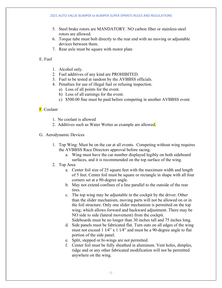- 5. Steel brake rotors are MANDATORY. NO carbon fiber or stainless-steel rotors are allowed.
- 6. Torque tube must bolt directly to the rear end with no moving or adjustable devices between them.
- 7. Rear axle must be square with motor plate

#### E. Fuel

- 1. Alcohol only.
- 2. Fuel additives of any kind are PROHIBITED.
- 3. Fuel to be tested at random by the AVBBSS officials.
- 4. Penalties for use of illegal fuel or refusing inspection.
	- a) Loss of all points for the event.
	- b) Loss of all earnings for the event.
	- c) \$500.00 fine must be paid before competing in another AVBBSS event.

#### **F**. Coolant

- 1. No coolant is allowed
- 2. Additives such as Water Wetter as example are allowed.
- G. Aerodynamic Devices
	- 1. Top Wing: Must be on the car at all events. Competing without wing requires the AVBBSS Race Directors approval before racing.
		- a. Wing must have the car number displayed legibly on both sideboard surfaces, and it is recommended on the top surface of the wing.
	- 2. Top Area
		- a. Center foil size of 25 square feet with the maximum width and length of 5 feet. Center foil must be square or rectangle in shape with all four corners set at a 90-degree angle.
		- b. May not extend confines of a line parallel to the outside of the rear tires.
		- c. The top wing may be adjustable in the cockpit by the driver. Other than the slider mechanism, moving parts will not be allowed on or in the foil structure. Only one slider mechanism is permitted on the top wing, which allows forward and backward adjustment. There may be NO side to side (lateral movement) from the cockpit.
		- Sideboards must be no longer than 30 inches tall and 75 inches long. d. Side panels must be fabricated flat. Turn outs on all edges of the wing must not exceed 1 1/4" x 1 1/4" and must be a 90-degree angle to flat portion of the side panel.
		- e. Split, stepped or bi-wings are not permitted.
		- f. Center foil must be fully sheathed in aluminum. Vent holes, dimples, ridge and or any other fabricated modification will not be permitted anywhere on the wing.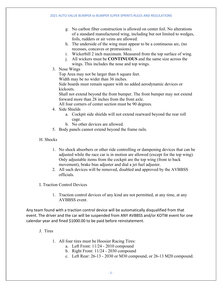- g. No carbon fiber construction is allowed on center foil. No alterations of a standard manufactured wing, including but not limited to wedges, foils, rudders or air veins are allowed.
- h. The underside of the wing must appear to be a continuous arc, (no recesses, concaves or protrusions).
- i. Wickerbill 2 inch maximum. Measured from the top surface of wing.
- j. All wickers must be **CONTINUOUS** and the same size across the wings. This includes the nose and top wings.
- 3. Nose Wings

Top Area may not be larger than 6 square feet.

Width may be no wider than 36 inches.

Side boards must remain square with no added aerodynamic devices or kickouts.

Shall not extend beyond the front bumper. The front bumper may not extend forward more than 28 inches from the front axle.

All four corners of center section must be 90 degrees.

- 4. Side Shields
	- a. Cockpit side shields will not extend rearward beyond the rear roll cage.
	- b. No other devices are allowed.
- 5. Body panels cannot extend beyond the frame rails.
- H. Shocks
	- 1. No shock absorbers or other ride controlling or dampening devices that can be adjusted while the race car is in motion are allowed (except for the top wing). Only adjustable items from the cockpit are the top wing (front to back movement), brake bias adjuster and dial a jet fuel adjuster.
	- 2. All such devices will be removed, disabled and approved by the AVBBSS officials.
- I. Traction Control Devices
	- 1. Traction control devices of any kind are not permitted, at any time, at any AVBBSS event.

Any team found with a traction control device will be automatically disqualified from that event. The driver and the car will be suspended from ANY AVBBSS and/or KOTW event for one calendar year and fined \$1000.00 to be paid before reinstatement.

- J. Tires
	- 1. All four tires must be Hoosier Racing Tires:
		- a. Left Front: 11/24 2010 compound
		- b. Right Front: 11/24 2030 compound
		- c. Left Rear: 26-13 2030 or M30 compound, or 26-13 M20 compound.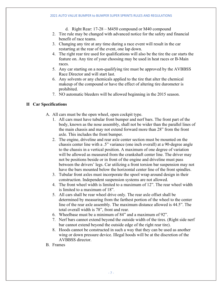- d. Right Rear: 17-28 M450 compound or M40 compound
- 2. Tire rule may be changed with advanced notice for the safety and financial benefit of race teams.
- 3. Changing any tire at any time during a race event will result in the car restarting at the rear of the event, one lap down.
- 4. The right rear tire used for qualifications will also be the tire the car starts the feature on. Any tire of your choosing may be used in heat races or B-Main races.
- 5. Any car starting on a non-qualifying tire must be approved by the AVBBSS Race Director and will start last.
- 6. Any solvents or any chemicals applied to the tire that alter the chemical makeup of the compound or have the effect of altering tire durometer is prohibited.
- 7. NO automatic bleeders will be allowed beginning in the 2015 season.

#### **II Car Specifications**

- A. All cars must be the open wheel, open cockpit type.
	- 1. All cars must have tubular front bumper and nerf bars. The front part of the body, known as the nose assembly, shall not be wider than the parallel lines of the main chassis and may not extend forward more than 28" from the front axle. This includes the front bumper.
	- 2. The engine, driveline and rear axle center section must be mounted on the chassis center line with a .5" variance (one inch overall) at a 90-degree angle to the chassis in a vertical position. A maximum of one degree of variation will be allowed as measured from the crankshaft center line. The driver may not be positions beside or in front of the engine and driveline must pass between the drivers' legs. Car utilizing a front torsion bar suspension may not have the bars mounted below the horizontal center line of the front spindles.
	- 3. Tubular front axles must incorporate the spool wrap around design in their construction. Independent suspension systems are not allowed.
	- 4. The front wheel width is limited to a maximum of 12". The rear wheel width is limited to a maximum of 18".
	- 5. All cars shall be rear wheel drive only. The rear axle offset shall be determined by measuring from the farthest portion of the wheel to the center line of the rear axle assembly. The maximum distance allowed is 44.5". The total overall width is 78", front and rear.
	- 6. Wheelbase must be a minimum of 84" and a maximum of 92".
	- 7. Nerf bars cannot extend beyond the outside width of the tires. (Right side nerf bar cannot extend beyond the outside edge of the right rear tire).
	- 8. Hoods cannot be constructed in such a way that they can be used as another wing or down pressure device. Illegal hoods will be at the discretion of the AVBBSS director.
- B. Frames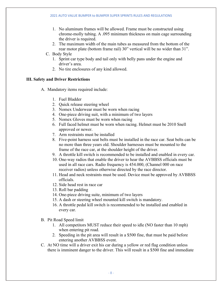- 1. No aluminum frames will be allowed. Frame must be constructed using chrome-molly tubing. A .095 minimum thickness on main cage surrounding the driver is required.
- 2. The maximum width of the main tubes as measured from the bottom of the rear motor plate (bottom frame rail) 30" vertical will be no wider than 31".
- C. Body Style
	- 1. Sprint car type body and tail only with belly pans under the engine and driver's area.
	- 2. No tire enclosures of any kind allowed.

#### **III. Safety and Driver Restrictions**

- A. Mandatory items required include:
	- 1. Fuel Bladder
	- 2. Quick release steering wheel
	- 3. Nomex Underwear must be worn when racing
	- 4. One-piece driving suit, with a minimum of two layers
	- 5. Nomex Gloves must be worn when racing
	- 6. Full faced helmet must be worn when racing. Helmet must be 2010 Snell approved or newer.
	- 7. Arm restraints must be installed
	- 8. Five-point harness seat belts must be installed in the race car. Seat belts can be no more than three years old. Shoulder harnesses must be mounted to the frame of the race car, at the shoulder height of the driver.
	- 9. A throttle kill switch is recommended to be installed and enabled in every car.
	- 10. One-way radios that enable the driver to hear the AVBBSS officials must be used in all race cars. Radio frequency is 454.000, (Channel 000 on race receiver radios) unless otherwise directed by the race director.
	- 11. Head and neck restraints must be used. Device must be approved by AVBBSS officials.
	- 12. Side head rest in race car
	- 13. Roll bar padding
	- 14. One-piece driving suite, minimum of two layers
	- 15. A dash or steering wheel mounted kill switch is mandatory.
	- 16. A throttle pedal kill switch is recommended to be installed and enabled in every car.
- B. Pit Road Speed limit
	- 1. All competitors MUST reduce their speed to idle (NO faster than 10 mph) when entering pit road.
	- 2. Speeding in the pit area will result in a \$500 fine, that must be paid before entering another AVBBSS event.
- C. At NO time will a driver exit his car during a yellow or red flag condition unless there is imminent danger to the driver. This will result in a \$500 fine and immediate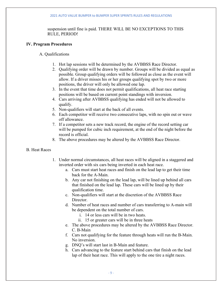#### 2021 AUTO VALUE BUMPER to BUMPER SUPER SPRINTS RULES AND REGULATIONS

suspension until fine is paid. THERE WILL BE NO EXCEPTIONS TO THIS RULE, PERIOD!

#### **IV. Program Procedures**

A. Qualifications

- 1. Hot lap sessions will be determined by the AVBBSS Race Director.
- 2. Qualifying order will be drawn by number. Groups will be divided as equal as possible. Group qualifying orders will be followed as close as the event will allow. If a driver misses his or her groups qualifying spot by two or more positions, the driver will only be allowed one lap.
- 3. In the event that time does not permit qualifications, all heat race starting positions will be based on current point standings with inversion.
- 4. Cars arriving after AVBBSS qualifying has ended will not be allowed to qualify.
- 5. Non-qualifiers will start at the back of all events.
- 6. Each competitor will receive two consecutive laps, with no spin out or wave off allowance.
- 7. If a competitor sets a new track record, the engine of the record setting car will be pumped for cubic inch requirement, at the end of the night before the record is official.
- 8. The above procedures may be altered by the AVBBSS Race Director.
- B. Heat Races
- 1. Under normal circumstances, all heat races will be aligned in a staggered and inverted order with six cars being inverted in each heat race.
	- a. Cars must start heat races and finish on the lead lap to get their time back for the A-Main.
	- b. Any car not finishing on the lead lap, will be lined up behind all cars that finished on the lead lap. These cars will be lined up by their qualification time.
	- c. Non-qualifiers will start at the discretion of the AVBBSS Race Director.
	- d. Number of heat races and number of cars transferring to A-main will be dependent on the total number of cars.
		- i. 14 or less cars will be in two heats.
		- ii. 15 or greater cars will be in three heats
	- e. The above procedures may be altered by the AVBBSS Race Director. C. B-Main
	- f. Cars not qualifying for the feature through heats will run the B-Main. No inversion.
	- g. DNQ's will start last in B-Main and feature.
	- h. Cars advancing to the feature start behind cars that finish on the lead lap of their heat race. This will apply to the one tire a night races.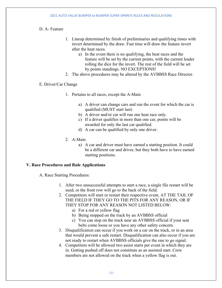### D. A- Feature

- 1. Lineup determined by finish of preliminaries and qualifying times with invert determined by the draw. Fast time will draw the feature invert after the heat races.
	- a) In the event there is no qualifying, the heat races and the feature will be set by the current points, with the current leader rolling the dice for the invert. The rest of the field will be set by points standings. NO EXCEPTIONS!
- 2. The above procedures may be altered by the AVBBSS Race Director.

#### E. Driver/Car Change

- 1. Pertains to all races, except the A-Main
	- a) A driver can change cars and run the event for which the car is qualified (MUST start last)
	- b) A driver and/or car will run one heat race only.
	- c) If a driver qualifies in more than one car, points will be awarded for only the last car qualified.
	- d) A car can be qualified by only one driver.
- 2. A-Main
	- a) A car and driver must have earned a starting position. It could be a different car and driver, but they both have to have earned starting positions.

#### **V. Race Procedures and Rule Applications**

A. Race Starting Procedures:

- 1. After two unsuccessful attempts to start a race, a single file restart will be used, or the front row will go to the back of the field.
- 2. Competitors will start or restart their respective event, AT THE TAIL OF THE FIELD IF THEY GO TO THE PITS FOR ANY REASON, OR IF THEY STOP FOR ANY REASON NOT LISTED BELOW:
	- a) For a red or yellow flag
	- b) Being stopped on the track by an AVBBSS official
	- c) You can stop on the track near an AVBBSS official if your seat belts come loose or you have any other safety concern.
- 3. Disqualification can occur if you work on a car on the track, or in an area that would prevent a safe restart. Disqualification can also occur if you are not ready to restart when AVBBSS officials give the one to go signal.
- 4. Competitors will be allowed two assist starts per event in which they are in. Getting pushed off does not constitute as an assisted start. Crew members are not allowed on the track when a yellow flag is out.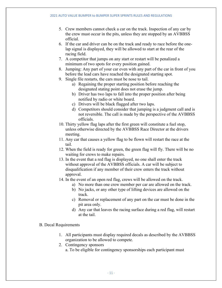- 5. Crew members cannot check a car on the track. Inspection of any car by the crew must occur in the pits, unless they are stopped by an AVBBSS official.
- 6. If the car and driver can be on the track and ready to race before the onelap signal is displayed, they will be allowed to start at the rear of the racing field.
- 7. A competitor that jumps on any start or restart will be penalized a minimum of two spots for every position gained.
- 8. Jumping: Any part of your car even with any part of the car in front of you before the lead cars have reached the designated starting spot.
- 9. Single file restarts, the cars must be nose to tail.
	- a) Regaining the proper starting position before reaching the designated stating point does not erase the jump.
	- b) Driver has two laps to fall into the proper position after being notified by radio or white board.
	- c) Drivers will be black flagged after two laps.
	- d) Competitors should consider that jumping is a judgment call and is not reversible. The call is made by the perspective of the AVBBSS officials.
- 10. Thirty yellow flag laps after the first green will constitute a fuel stop, unless otherwise directed by the AVBBSS Race Director at the drivers meeting.
- 11. Any car that causes a yellow flag to be flown will restart the race at the tail.
- 12. When the field is ready for green, the green flag will fly. There will be no waiting for crews to make repairs.
- 13. In the event that a red flag is displayed, no one shall enter the track without approval of the AVBBSS officials. A car will be subject to disqualification if any member of their crew enters the track without approval.
- 14. In the event of an open red flag, crews will be allowed on the track.
	- a) No more than one crew member per car are allowed on the track.
	- b) No jacks, or any other type of lifting devices are allowed on the track.
	- c) Removal or replacement of any part on the car must be done in the pit area only.
	- d) Any car that leaves the racing surface during a red flag, will restart at the tail.

#### B. Decal Requirements

- 1. All participants must display required decals as described by the AVBBSS organization to be allowed to compete.
- 2. Contingency sponsors a. To be eligible for contingency sponsorships each participant must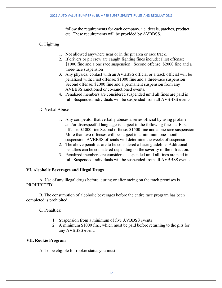follow the requirements for each company, i.e. decals, patches, product, etc. These requirements will be provided by AVBBSS.

## C. Fighting

- 1. Not allowed anywhere near or in the pit area or race track.
- 2. If drivers or pit crew are caught fighting fines include: First offense: \$1000 fine and a one race suspension. Second offense: \$2000 fine and a three-race suspension
- 3. Any physical contact with an AVBBSS official or a track official will be penalized with: First offense: \$1000 fine and a three-race suspension Second offense: \$2000 fine and a permanent suspension from any AVBBSS sanctioned or co-sanctioned events.
- 4. Penalized members are considered suspended until all fines are paid in full. Suspended individuals will be suspended from all AVBBSS events.

#### D. Verbal Abuse

- 1. Any competitor that verbally abuses a series official by using profane and/or disrespectful language is subject to the following fines: a. First offense: \$1000 fine Second offense: \$1500 fine and a one race suspension More than two offenses will be subject to a minimum one-month suspension. AVBBSS officials will determine the weeks of suspension.
- 2. The above penalties are to be considered a basic guideline. Additional penalties can be considered depending on the severity of the infraction.
- 3. Penalized members are considered suspended until all fines are paid in full. Suspended individuals will be suspended from all AVBBSS events.

#### **VI. Alcoholic Beverages and Illegal Drugs**

A. Use of any illegal drugs before, during or after racing on the track premises is PROHIBITED!

B. The consumption of alcoholic beverages before the entire race program has been completed is prohibited.

C. Penalties:

- 1. Suspension from a minimum of five AVBBSS events
- 2. A minimum \$1000 fine, which must be paid before returning to the pits for any AVBBSS event.

#### **VII. Rookie Program**

A. To be eligible for rookie status you must: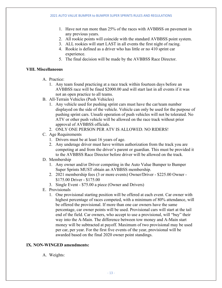- 1. Have not run more than 25% of the races with AVBBSS on pavement in any previous years.
- 2. All rookie points will coincide with the standard AVBBSS point system.
- 3. ALL rookies will start LAST in all events the first night of racing.
- 4. Rookie is defined as a driver who has little or no 410 sprint car experience.
- 5. The final decision will be made by the AVBBSS Race Director.

#### **VIII. Miscellaneous**

- A. Practice:
	- 1. Any team found practicing at a race track within fourteen days before an AVBBSS race will be fined \$2000.00 and will start last in all events if it was not an open practice to all teams.
- B. All-Terrain Vehicles (Push Vehicles)
	- 1. Any vehicle used for pushing sprint cars must have the car/team number displayed on the side of the vehicle. Vehicle can only be used for the purpose of pushing sprint cars. Unsafe operation of push vehicles will not be tolerated. No ATV or other push vehicle will be allowed on the race track without prior approval of AVBBSS officials.
	- 2. ONLY ONE PERSON PER ATV IS ALLOWED. NO RIDERS!
- C. Age Requirements
	- 1. Drivers must be at least 16 years of age.
	- 2. Any underage driver must have written authorization from the track you are competing at and from the driver's parent or guardian. This must be provided it to the AVBBSS Race Director before driver will be allowed on the track.
- D. Membership
	- 1. Any owner and/or Driver competing in the Auto Value Bumper to Bumper Super Sprints MUST obtain an AVBBSS membership.
	- 2. 2021 membership fees (3 or more events) Owner/Driver \$225.00 Owner \$175.00 Driver - \$175.00
	- 3. Single Event \$75.00 a piece (Owner and Drivers)
- E. Provisionals
	- 1. One provisional starting position will be offered at each event. Car owner with highest percentage of races competed, with a minimum of 80% attendance, will be offered the provisional. If more than one car owners have the same percentage, car owner points will be used. Provisional cars will start at the tail end of the field. Car owners, who accept to use a provisional, will "buy" their way into the A-Main. The difference between tow money and A-Main start money will be subtracted at payoff. Maximum of two provisional may be used per car, per year. For the first five events of the year, provisional will be awarded based on the final 2020 owner point standings.

#### **IX. NON-WINGED amendments:**

A. Weights: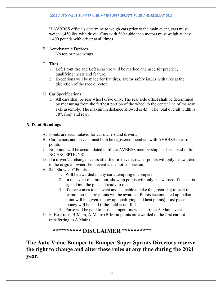If AVBBSS officials determine to weigh cars prior to the main event, cars must weigh 1,450 lbs. with driver. Cars with 360 cubic inch motors must weigh at least 1,400 pounds with driver at all times.

- B. Aerodynamic Devices No top or nose wings.
- C. Tires
	- 1. Left Front tire and Left Rear tire will be marked and used for practice, qualifying, heats and feature.
	- 2. Exceptions will be made for flat tires, and/or safety issues with tires at the discretion of the race director.
- D. Car Specifications
	- 1. All cars shall be rear wheel drive only. The rear axle offset shall be determined by measuring from the farthest portion of the wheel to the center line of the rear axle assembly. The maximum distance allowed is 43". The total overall width is 78", front and rear.

#### **X. Point Standings**

- A. Points are accumulated for car owners and drivers.
- B. Car owners and drivers must both be registered members with AVBBSS to earn points.
- C. No points will be accumulated until the AVBBSS membership has been paid in full. NO EXCEPTIONS!
- D. If a driver/car change occurs after the first event, owner points will only be awarded to the original owner. First event is the hot lap session.
- E. 25 "Show Up" Points
	- 1. Will be awarded to any car attempting to compete
	- 2. In the event of a rain out, show up points will only be awarded if the car is signed into the pits and ready to race.
	- 3. If a car comes to an event and is unable to take the green flag to start the feature, no feature points will be awarded. Points accumulated up to that point will be given, (show up, qualifying and heat points). Last place money will be paid if the field is not full.
	- 4. Purse will be paid to those competitors who start the A-Main event.
- F. F. Heat race, B-Main, A-Main: (B-Main points are awarded to the first car not transferring to A Main)

# **\*\*\*\*\*\*\*\*\*\* DISCLAIMER \*\*\*\*\*\*\*\*\*\***

**The Auto Value Bumper to Bumper Super Sprints Directors reserve the right to change and alter these rules at any time during the 2021 year.**